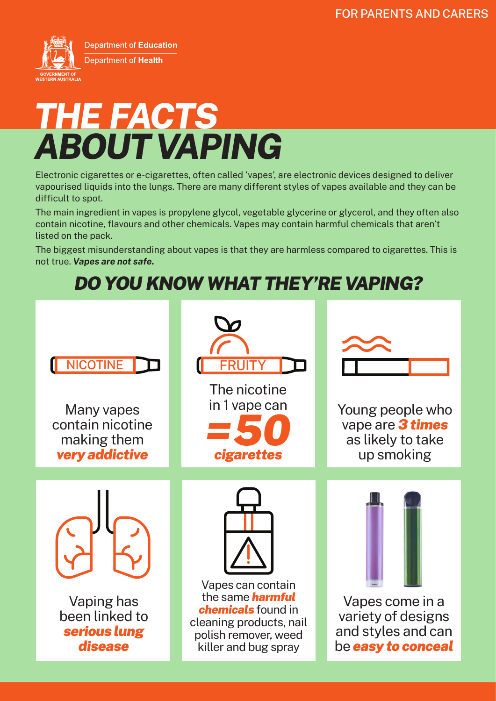

# *ABOUT VAPING THE FACTS*

Electronic cigarettes or e-cigarettes, often called 'vapes', are electronic devices designed to deliver vapourised liquids into the lungs. There are many different styles of vapes available and they can be difficult to spot.

The main ingredient in vapes is propylene glycol, vegetable glycerine or glycerol, and they often also contain nicotine, flavours and other chemicals. Vapes may contain harmful chemicals that aren't listed on the pack.

The biggest misunderstanding about vapes is that they are harmless compared to cigarettes. This is not true. *Vapes are not safe.* 

## *DO YOU KNOW WHAT THEY'RE VAPING?*

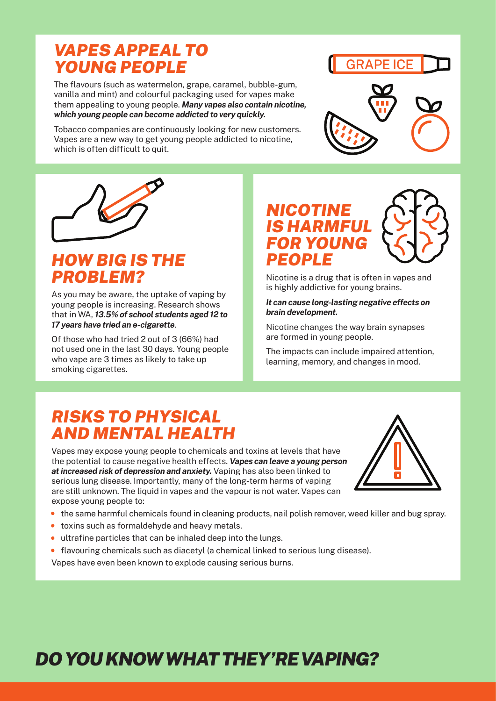## *VAPES APPEAL TO YOUNG PEOPLE*

The flavours (such as watermelon, grape, caramel, bubble-gum, vanilla and mint) and colourful packaging used for vapes make them appealing to young people. *Many vapes also contain nicotine, which young people can become addicted to very quickly.*

Tobacco companies are continuously looking for new customers. Vapes are a new way to get young people addicted to nicotine, which is often difficult to quit.







## *HOW BIG IS THE PROBLEM?*

As you may be aware, the uptake of vaping by young people is increasing. Research shows that in WA, *13.5% of school students aged 12 to 17 years have tried an e-cigarette*.

Of those who had tried 2 out of 3 (66%) had not used one in the last 30 days. Young people who vape are 3 times as likely to take up smoking cigarettes.



Nicotine is a drug that is often in vapes and is highly addictive for young brains.

#### *It can cause long-lasting negative effects on brain development.*

Nicotine changes the way brain synapses are formed in young people.

The impacts can include impaired attention, learning, memory, and changes in mood.

## *RISKS TO PHYSICAL AND MENTAL HEALTH*

Vapes may expose young people to chemicals and toxins at levels that have the potential to cause negative health effects. *Vapes can leave a young person at increased risk of depression and anxiety.* Vaping has also been linked to serious lung disease. Importantly, many of the long-term harms of vaping are still unknown. The liquid in vapes and the vapour is not water. Vapes can expose young people to:



- the same harmful chemicals found in cleaning products, nail polish remover, weed killer and bug spray.
- toxins such as formaldehyde and heavy metals.
- ultrafine particles that can be inhaled deep into the lungs.
- flavouring chemicals such as diacetyl (a chemical linked to serious lung disease).

Vapes have even been known to explode causing serious burns.

## *DO YOU KNOW WHAT THEY'RE VAPING?*